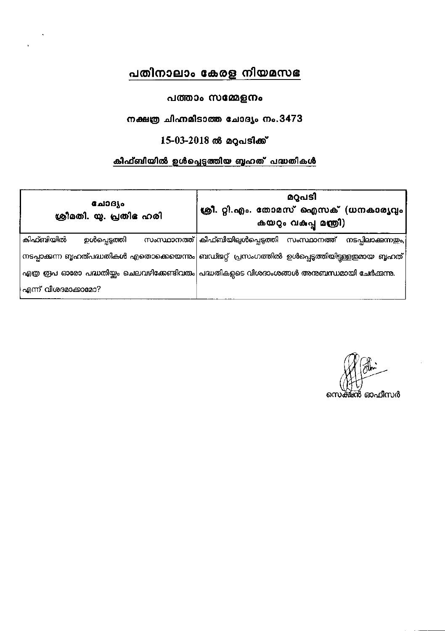# പതിനാലാം കേരള നിയമസഭ

### പത്താം സമ്മേളനം

### നക്ഷത്ര ചിഹ്നമിടാത്ത ചോദ്യം നം.3473

# $15-03-2018$  ൽ മറുപടിക്ക്

# കിഫ്ബിയിൽ ഉൾപ്പെടുത്തിയ ബൃഹത് പദ്ധതികൾ

| ഫോദ്യം<br>ശ്രീമതി. യു. പ്രതിഭ ഹരി | മറുപടി<br>ക്രീ. റ്റി.എം. തോമസ് ഐസക് (ധനകാര്യവും<br>കയറും വകുപ്പു മന്ത്രി)                          |  |  |
|-----------------------------------|----------------------------------------------------------------------------------------------------|--|--|
| കിഫ്ബിയിൽ<br>ഉൾപ്പെടുത്തി         | സംസ്ഥാനത്ത് കിഫ്ബിയില്പൾപ്പെടുത്തി സംസ്ഥാനത്ത് നടപ്പിലാക്കുന്നത്രം,                                |  |  |
|                                   | _നടപ്പാക്കന്ന ബൃഹത്പദ്ധതികൾ എതൊക്കെയെന്നും ബഡ്ജറ്റ്  പ്രസംഗത്തിൽ  ഉൾപ്പെടുത്തിയിട്ടള്ളത്മായ  ബൃഹത് |  |  |
|                                   | എത്ര ത്രപ ഓരോ പദ്ധതിയ്ക്കം ചെലവഴിക്കേണ്ടിവരും  പദ്ധതികളുടെ വിശദാംശങ്ങൾ അനുബന്ധമായി ചേർക്കന്നു.     |  |  |
| എന്ന് വിശദമാക്കാമോ?               |                                                                                                    |  |  |

സെക്ഷൻ ഓഫീസർ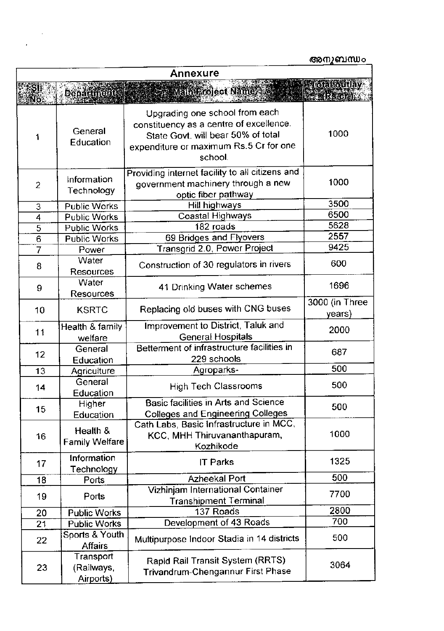|                     |                                      |                                                                                                                                                                      | അനുബന്ധം                                                |
|---------------------|--------------------------------------|----------------------------------------------------------------------------------------------------------------------------------------------------------------------|---------------------------------------------------------|
|                     |                                      | <b>Annexure</b>                                                                                                                                                      |                                                         |
| Ño.                 | <b>Department</b>                    | <b>Main Project Name</b>                                                                                                                                             | <b>Seriotal outlay</b><br><b>EXPERIENCY AND SERVICE</b> |
|                     | General<br>Education                 | Upgrading one school from each<br>constituency as a centre of excellence.<br>State Govt. will bear 50% of total<br>expenditure or maximum Rs.5 Cr for one<br>school. | 1000                                                    |
| $\overline{2}$      | Information<br>Technology            | Providing internet facility to all citizens and<br>government machinery through a new<br>optic fiber pathway                                                         | 1000                                                    |
| 3                   | <b>Public Works</b>                  | Hill highways                                                                                                                                                        | 3500                                                    |
| $\overline{\bf{4}}$ | <b>Public Works</b>                  | Coastal Highways                                                                                                                                                     | 6500                                                    |
| $\overline{5}$      | <b>Public Works</b>                  | 182 roads                                                                                                                                                            | 5628                                                    |
| $\overline{6}$      | <b>Public Works</b>                  | 69 Bridges and Flyovers                                                                                                                                              | 2557                                                    |
| 7                   | Power                                | Transgrid 2.0, Power Project                                                                                                                                         | 9425                                                    |
| 8                   | Water<br><b>Resources</b>            | Construction of 30 regulators in rivers                                                                                                                              | 600                                                     |
| 9                   | Water<br>Resources                   | 41 Drinking Water schemes                                                                                                                                            | 1696                                                    |
| 10                  | <b>KSRTC</b>                         | Replacing old buses with CNG buses                                                                                                                                   | 3000 (in Three<br>years)                                |
| 11                  | Health & family<br>welfare           | Improvement to District, Taluk and<br>General Hospitals                                                                                                              | 2000                                                    |
| 12                  | General<br>Education                 | Betterment of infrastructure facilities in<br>229 schools                                                                                                            | 687                                                     |
| 13                  | Agriculture                          | Agroparks-                                                                                                                                                           | 500                                                     |
| 14                  | General<br>Education                 | <b>High Tech Classrooms</b>                                                                                                                                          | 500                                                     |
| 15                  | Higher<br>Education                  | Basic facilities in Arts and Science<br><b>Colleges and Engineering Colleges</b>                                                                                     | 500                                                     |
| 16                  | Health &<br><b>Family Welfare</b>    | Cath Labs, Basic Infrastructure in MCC,<br>KCC, MHH Thiruvananthapuram,<br>Kozhikode                                                                                 | 1000                                                    |
| 17                  | Information<br>Technology            | <b>IT Parks</b>                                                                                                                                                      | 1325                                                    |
| 18                  | Ports                                | <b>Azheekal Port</b>                                                                                                                                                 | 500                                                     |
| 19                  | Ports                                | Vizhinjam International Container<br><b>Transhipment Terminal</b>                                                                                                    | 7700                                                    |
| 20                  | <b>Public Works</b>                  | 137 Roads                                                                                                                                                            | 2800                                                    |
| 21                  | <b>Public Works</b>                  | Development of 43 Roads                                                                                                                                              | 700                                                     |
| 22                  | Sports & Youth<br><b>Affairs</b>     | Multipurpose Indoor Stadia in 14 districts                                                                                                                           | 500                                                     |
| 23                  | Transport<br>(Railways,<br>Airports) | Rapid Rail Transit System (RRTS)<br>Trivandrum-Chengannur First Phase                                                                                                | 3064                                                    |

 $\sim$   $\sim$ 

 $\sim 10^{-1}$